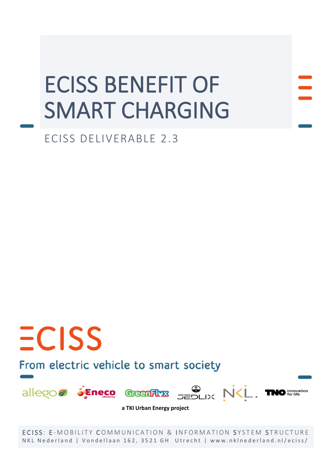# ECISS BENEFIT OF SMART CHARGING

ECISS DELIVERABLE 2.3

# From electric vehicle to smart society

 $ECISS$ 



**a TKI Urban Energy project**

ECISS: E-MOBILITY COMMUNICATION & INFORMATION SYSTEM STRUCTURE NKL Nederland | Vondellaan 162, 3521 GH Utrecht | www.nklnederland.nl/eciss/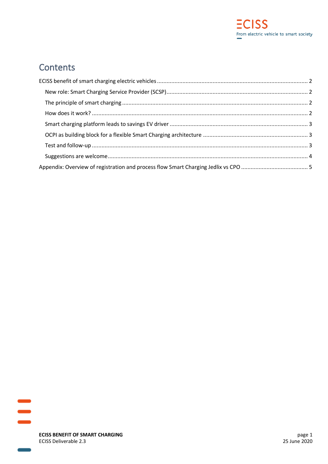

# **Contents**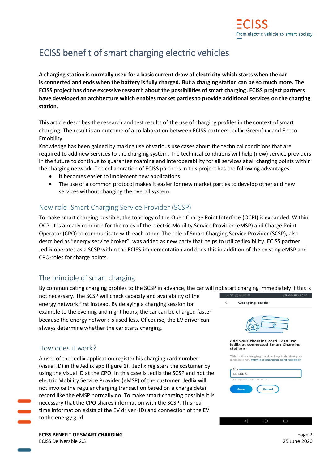# <span id="page-2-0"></span>ECISS benefit of smart charging electric vehicles

**A charging station is normally used for a basic current draw of electricity which starts when the car is connected and ends when the battery is fully charged. But a charging station can be so much more. The ECISS project has done excessive research about the possibilities of smart charging. ECISS project partners have developed an architecture which enables market parties to provide additional services on the charging station.**

This article describes the research and test results of the use of charging profiles in the context of smart charging. The result is an outcome of a collaboration between ECISS partners Jedlix, Greenflux and Eneco Emobility.

Knowledge has been gained by making use of various use cases about the technical conditions that are required to add new services to the charging system. The technical conditions will help (new) service providers in the future to continue to guarantee roaming and interoperability for all services at all charging points within the charging network. The collaboration of ECISS partners in this project has the following advantages:

- It becomes easier to implement new applications
- The use of a common protocol makes it easier for new market parties to develop other and new services without changing the overall system.

### <span id="page-2-1"></span>New role: Smart Charging Service Provider (SCSP)

To make smart charging possible, the topology of the Open Charge Point Interface (OCPI) is expanded. Within OCPI it is already common for the roles of the electric Mobility Service Provider (eMSP) and Charge Point Operator (CPO) to communicate with each other. The role of Smart Charging Service Provider (SCSP), also described as "energy service broker", was added as new party that helps to utilize flexibility. ECISS partner Jedlix operates as a SCSP within the ECISS-implementation and does this in addition of the existing eMSP and CPO-roles for charge points.

## <span id="page-2-2"></span>The principle of smart charging

By communicating charging profiles to the SCSP in advance, the car will not start charging immediately if this is

not necessary. The SCSP will check capacity and availability of the energy network first instead. By delaying a charging session for example to the evening and night hours, the car can be charged faster because the energy network is used less. Of course, the EV driver can always determine whether the car starts charging.

### <span id="page-2-3"></span>How does it work?

A user of the Jedlix application register his charging card number (visual ID) in the Jedlix app (figure 1). Jedlix registers the costumer by using the visual ID at the CPO. In this case is Jedlix the SCSP and not the electric Mobility Service Provider (eMSP) of the customer. Jedlix will not invoice the regular charging transaction based on a charge detail record like the eMSP normally do. To make smart charging possible it is necessary that the CPO shares information with the SCSP. This real time information exists of the EV driver (ID) and connection of the EV to the energy grid.

1□168%■ 15:58 **Charging cards** Add your charging card ID to use Jedlix at connected Smart Charging stations This is the charging card or keychain that you<br>already own. Why is a charging card needed?  $N1 NI$  -  $ENF$ - $C$ Save Cancel

 $\circ$ 

 $\triangle$ 

**ECISS BENEFIT OF SMART CHARGING page 2 page 2** ECISS Deliverable 2.3 25 June 2020

 $\Box$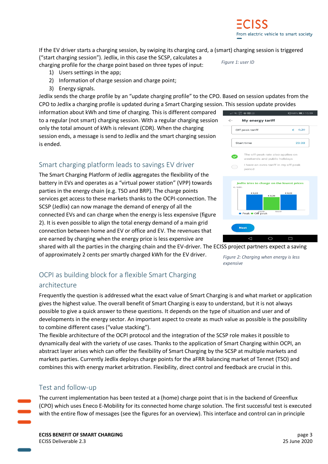If the EV driver starts a charging session, by swiping its charging card, a (smart) charging session is triggered ("start charging session"). Jedlix, in this case the SCSP, calculates a

charging profile for the charge point based on three types of input:

- 1) Users settings in the app;
- 2) Information of charge session and charge point;
- 3) Energy signals.

Jedlix sends the charge profile by an "update charging profile" to the CPO. Based on session updates from the CPO to Jedlix a charging profile is updated during a Smart Charging session. This session update provides

information about kWh and time of charging. This is different compared to a regular (not smart) charging session. With a regular charging session only the total amount of kWh is relevant (CDR). When the charging session ends, a message is send to Jedlix and the smart charging session is ended.

## <span id="page-3-0"></span>Smart charging platform leads to savings EV driver

The Smart Charging Platform of Jedlix aggregates the flexibility of the battery in EVs and operates as a "virtual power station" (VPP) towards parties in the energy chain (e.g. TSO and BRP). The charge points services get access to these markets thanks to the OCPI-connection. The SCSP (Jedlix) can now manage the demand of energy of all the connected EVs and can charge when the energy is less expensive (figure 2). It is even possible to align the total energy demand of a main grid connection between home and EV or office and EV. The revenues that are earned by charging when the energy price is less expensive are

shared with all the parties in the charging chain and the EV-driver. The ECISS project partners expect a saving

of approximately 2 cents per smartly charged kWh for the EV driver. *Figure 2: Charging when energy is less* 

*expensive*

## <span id="page-3-1"></span>OCPI as building block for a flexible Smart Charging

## architecture

Frequently the question is addressed what the exact value of Smart Charging is and what market or application gives the highest value. The overall benefit of Smart Charging is easy to understand, but it is not always possible to give a quick answer to these questions. It depends on the type of situation and user and of developments in the energy sector. An important aspect to create as much value as possible is the possibility to combine different cases ("value stacking").

The flexible architecture of the OCPI protocol and the integration of the SCSP role makes it possible to dynamically deal with the variety of use cases. Thanks to the application of Smart Charging within OCPI, an abstract layer arises which can offer the flexibility of Smart Charging by the SCSP at multiple markets and markets parties. Currently Jedlix deploys charge points for the aFRR balancing market of Tennet (TSO) and combines this with energy market arbitration. Flexibility, direct control and feedback are crucial in this.

## <span id="page-3-2"></span>Test and follow-up

The current implementation has been tested at a (home) charge point that is in the backend of Greenflux (CPO) which uses Eneco E-Mobility for its connected home charge solution. The first successful test is executed with the entire flow of messages (see the figures for an overview). This interface and control can in principle

**ECISS BENEFIT OF SMART CHARGING page 3** ECISS Deliverable 2.3 25 June 2020





*Figure 1: user ID*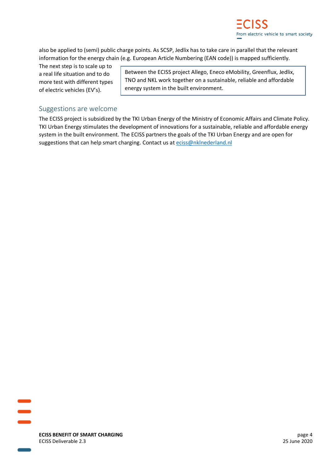

also be applied to (semi) public charge points. As SCSP, Jedlix has to take care in parallel that the relevant information for the energy chain (e.g. European Article Numbering (EAN code)) is mapped sufficiently.

The next step is to scale up to a real life situation and to do more test with different types of electric vehicles (EV's).

Between the ECISS project Allego, Eneco eMobility, Greenflux, Jedlix, TNO and NKL work together on a sustainable, reliable and affordable energy system in the built environment.

#### <span id="page-4-0"></span>Suggestions are welcome

The ECISS project is subsidized by the TKI Urban Energy of the Ministry of Economic Affairs and Climate Policy. TKI Urban Energy stimulates the development of innovations for a sustainable, reliable and affordable energy system in the built environment. The ECISS partners the goals of the TKI Urban Energy and are open for suggestions that can help smart charging. Contact us at [eciss@nklnederland.nl](mailto:eciss@nklnederland.nl)